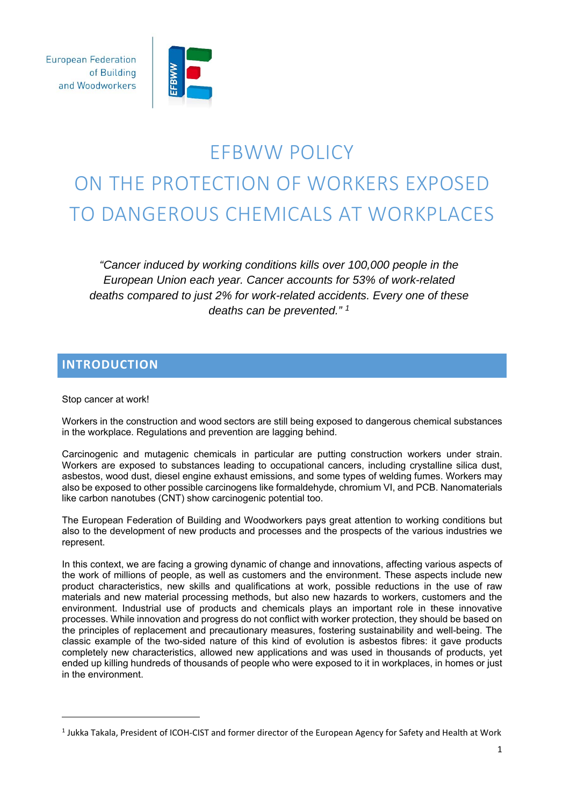**European Federation** of Building and Woodworkers



# EFBWW POLICY ON THE PROTECTION OF WORKERS EXPOSED TO DANGEROUS CHEMICALS AT WORKPLACES

*"Cancer induced by working conditions kills over 100,000 people in the European Union each year. Cancer accounts for 53% of work-related deaths compared to just 2% for work-related accidents. Every one of these deaths can be prevented." 1*

# **INTRODUCTION**

Stop cancer at work!

<u> 1989 - Johann Stein, mars an de Brazilian (b. 1989)</u>

Workers in the construction and wood sectors are still being exposed to dangerous chemical substances in the workplace. Regulations and prevention are lagging behind.

Carcinogenic and mutagenic chemicals in particular are putting construction workers under strain. Workers are exposed to substances leading to occupational cancers, including crystalline silica dust, asbestos, wood dust, diesel engine exhaust emissions, and some types of welding fumes. Workers may also be exposed to other possible carcinogens like formaldehyde, chromium VI, and PCB. Nanomaterials like carbon nanotubes (CNT) show carcinogenic potential too.

The European Federation of Building and Woodworkers pays great attention to working conditions but also to the development of new products and processes and the prospects of the various industries we represent.

In this context, we are facing a growing dynamic of change and innovations, affecting various aspects of the work of millions of people, as well as customers and the environment. These aspects include new product characteristics, new skills and qualifications at work, possible reductions in the use of raw materials and new material processing methods, but also new hazards to workers, customers and the environment. Industrial use of products and chemicals plays an important role in these innovative processes. While innovation and progress do not conflict with worker protection, they should be based on the principles of replacement and precautionary measures, fostering sustainability and well-being. The classic example of the two-sided nature of this kind of evolution is asbestos fibres: it gave products completely new characteristics, allowed new applications and was used in thousands of products, yet ended up killing hundreds of thousands of people who were exposed to it in workplaces, in homes or just in the environment.

<sup>1</sup> Jukka Takala, President of ICOH‐CIST and former director of the European Agency for Safety and Health at Work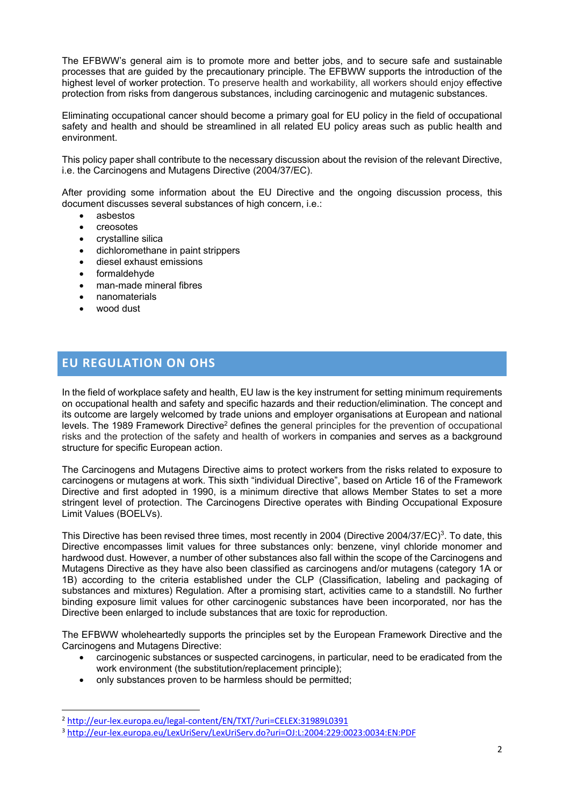The EFBWW's general aim is to promote more and better jobs, and to secure safe and sustainable processes that are guided by the precautionary principle. The EFBWW supports the introduction of the highest level of worker protection. To preserve health and workability, all workers should enjoy effective protection from risks from dangerous substances, including carcinogenic and mutagenic substances.

Eliminating occupational cancer should become a primary goal for EU policy in the field of occupational safety and health and should be streamlined in all related EU policy areas such as public health and environment.

This policy paper shall contribute to the necessary discussion about the revision of the relevant Directive, i.e. the Carcinogens and Mutagens Directive (2004/37/EC).

After providing some information about the EU Directive and the ongoing discussion process, this document discusses several substances of high concern, i.e.:

- asbestos
- creosotes
- crystalline silica
- dichloromethane in paint strippers
- diesel exhaust emissions
- formaldehyde
- man-made mineral fibres
- nanomaterials
- wood dust

# **EU REGULATION ON OHS**

In the field of workplace safety and health, EU law is the key instrument for setting minimum requirements on occupational health and safety and specific hazards and their reduction/elimination. The concept and its outcome are largely welcomed by trade unions and employer organisations at European and national levels. The 1989 Framework Directive<sup>2</sup> defines the general principles for the prevention of occupational risks and the protection of the safety and health of workers in companies and serves as a background structure for specific European action.

The Carcinogens and Mutagens Directive aims to protect workers from the risks related to exposure to carcinogens or mutagens at work. This sixth "individual Directive", based on Article 16 of the Framework Directive and first adopted in 1990, is a minimum directive that allows Member States to set a more stringent level of protection. The Carcinogens Directive operates with Binding Occupational Exposure Limit Values (BOELVs).

This Directive has been revised three times, most recently in 2004 (Directive 2004/37/EC)<sup>3</sup>. To date, this Directive encompasses limit values for three substances only: benzene, vinyl chloride monomer and hardwood dust. However, a number of other substances also fall within the scope of the Carcinogens and Mutagens Directive as they have also been classified as carcinogens and/or mutagens (category 1A or 1B) according to the criteria established under the CLP (Classification, labeling and packaging of substances and mixtures) Regulation. After a promising start, activities came to a standstill. No further binding exposure limit values for other carcinogenic substances have been incorporated, nor has the Directive been enlarged to include substances that are toxic for reproduction.

The EFBWW wholeheartedly supports the principles set by the European Framework Directive and the Carcinogens and Mutagens Directive:

- carcinogenic substances or suspected carcinogens, in particular, need to be eradicated from the work environment (the substitution/replacement principle);
- only substances proven to be harmless should be permitted;

<sup>2</sup> http://eur‐lex.europa.eu/legal‐content/EN/TXT/?uri=CELEX:31989L0391

<sup>3</sup> http://eur‐lex.europa.eu/LexUriServ/LexUriServ.do?uri=OJ:L:2004:229:0023:0034:EN:PDF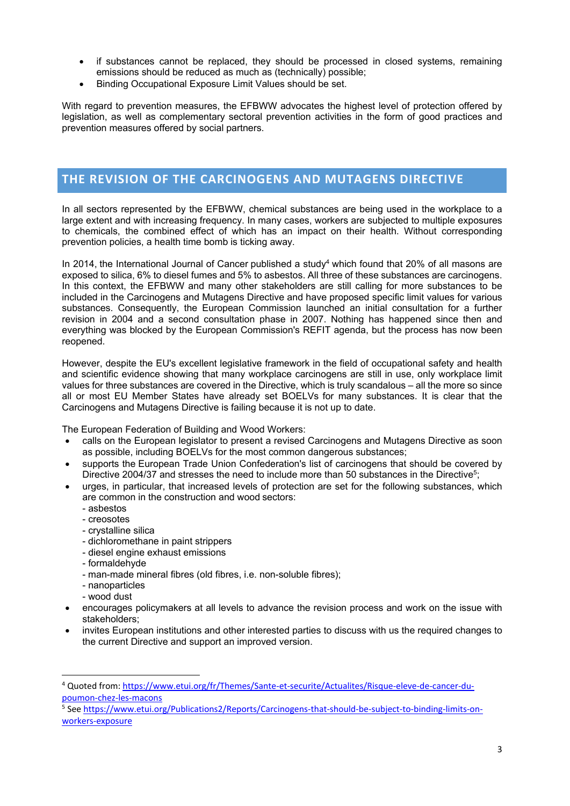- if substances cannot be replaced, they should be processed in closed systems, remaining emissions should be reduced as much as (technically) possible;
- Binding Occupational Exposure Limit Values should be set.

With regard to prevention measures, the EFBWW advocates the highest level of protection offered by legislation, as well as complementary sectoral prevention activities in the form of good practices and prevention measures offered by social partners.

# **THE REVISION OF THE CARCINOGENS AND MUTAGENS DIRECTIVE**

In all sectors represented by the EFBWW, chemical substances are being used in the workplace to a large extent and with increasing frequency. In many cases, workers are subjected to multiple exposures to chemicals, the combined effect of which has an impact on their health. Without corresponding prevention policies, a health time bomb is ticking away.

In 2014, the International Journal of Cancer published a study<sup>4</sup> which found that 20% of all masons are exposed to silica, 6% to diesel fumes and 5% to asbestos. All three of these substances are carcinogens. In this context, the EFBWW and many other stakeholders are still calling for more substances to be included in the Carcinogens and Mutagens Directive and have proposed specific limit values for various substances. Consequently, the European Commission launched an initial consultation for a further revision in 2004 and a second consultation phase in 2007. Nothing has happened since then and everything was blocked by the European Commission's REFIT agenda, but the process has now been reopened.

However, despite the EU's excellent legislative framework in the field of occupational safety and health and scientific evidence showing that many workplace carcinogens are still in use, only workplace limit values for three substances are covered in the Directive, which is truly scandalous – all the more so since all or most EU Member States have already set BOELVs for many substances. It is clear that the Carcinogens and Mutagens Directive is failing because it is not up to date.

The European Federation of Building and Wood Workers:

- calls on the European legislator to present a revised Carcinogens and Mutagens Directive as soon as possible, including BOELVs for the most common dangerous substances;
- supports the European Trade Union Confederation's list of carcinogens that should be covered by Directive 2004/37 and stresses the need to include more than 50 substances in the Directive<sup>5</sup>;
- urges, in particular, that increased levels of protection are set for the following substances, which are common in the construction and wood sectors:
	- asbestos
	- creosotes
	- crystalline silica
	- dichloromethane in paint strippers
	- diesel engine exhaust emissions
	- formaldehyde
	- man-made mineral fibres (old fibres, i.e. non-soluble fibres);
	- nanoparticles

- wood dust
- encourages policymakers at all levels to advance the revision process and work on the issue with stakeholders;
- invites European institutions and other interested parties to discuss with us the required changes to the current Directive and support an improved version.

<sup>4</sup> Quoted from: https://www.etui.org/fr/Themes/Sante‐et‐securite/Actualites/Risque‐eleve‐de‐cancer‐du‐ poumon‐chez‐les‐macons

<sup>5</sup> See https://www.etui.org/Publications2/Reports/Carcinogens-that-should-be-subject-to-binding-limits-onworkers‐exposure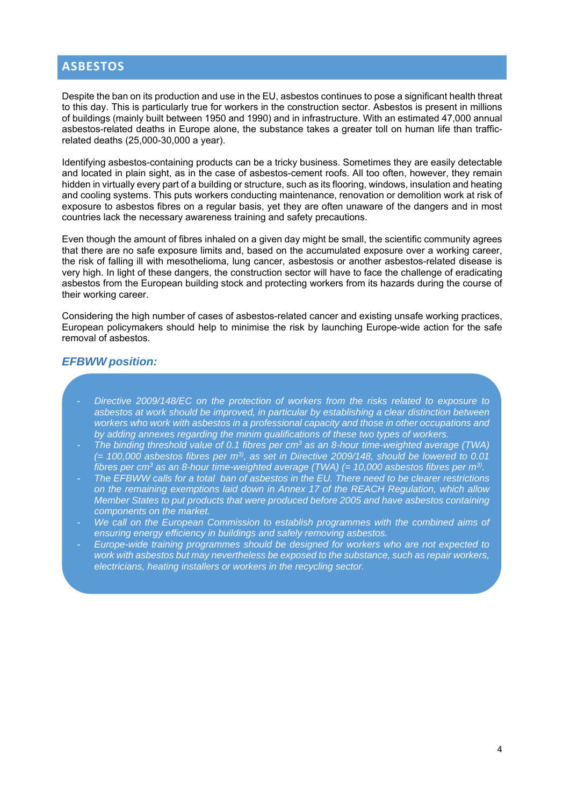# **ASBESTOS**

Despite the ban on its production and use in the EU, asbestos continues to pose a significant health threat to this day. This is particularly true for workers in the construction sector. Asbestos is present in millions of buildings (mainly built between 1950 and 1990) and in infrastructure. With an estimated 47,000 annual asbestos-related deaths in Europe alone, the substance takes a greater toll on human life than trafficrelated deaths (25,000-30,000 a year).

Identifying asbestos-containing products can be a tricky business. Sometimes they are easily detectable and located in plain sight, as in the case of asbestos-cement roofs. All too often, however, they remain hidden in virtually every part of a building or structure, such as its flooring, windows, insulation and heating and cooling systems. This puts workers conducting maintenance, renovation or demolition work at risk of exposure to asbestos fibres on a regular basis, yet they are often unaware of the dangers and in most countries lack the necessary awareness training and safety precautions.

Even though the amount of fibres inhaled on a given day might be small, the scientific community agrees that there are no safe exposure limits and, based on the accumulated exposure over a working career, the risk of falling ill with mesothelioma, lung cancer, asbestosis or another asbestos-related disease is very high. In light of these dangers, the construction sector will have to face the challenge of eradicating asbestos from the European building stock and protecting workers from its hazards during the course of their working career.

Considering the high number of cases of asbestos-related cancer and existing unsafe working practices, European policymakers should help to minimise the risk by launching Europe-wide action for the safe removal of asbestos.

#### *EFBWW position:*

- *Directive 2009/148/EC on the protection of workers from the risks related to exposure to asbestos at work should be improved, in particular by establishing a clear distinction between workers who work with asbestos in a professional capacity and those in other occupations and by adding annexes regarding the minim qualifications of these two types of workers.*
- *The binding threshold value of 0.1 fibres per cm3 as an 8-hour time-weighted average (TWA)*   $(= 100,000$  asbestos fibres per m<sup>3)</sup>, as set in Directive 2009/148, should be lowered to 0.01 *fibres per cm3 as an 8-hour time-weighted average (TWA) (= 10,000 asbestos fibres per m3).*
- *The EFBWW calls for a total ban of asbestos in the EU. There need to be clearer restrictions on the remaining exemptions laid down in Annex 17 of the REACH Regulation, which allow Member States to put products that were produced before 2005 and have asbestos containing components on the market.*
- We call on the European Commission to establish programmes with the combined aims of *ensuring energy efficiency in buildings and safely removing asbestos.*
- *Europe-wide training programmes should be designed for workers who are not expected to work with asbestos but may nevertheless be exposed to the substance, such as repair workers, electricians, heating installers or workers in the recycling sector.*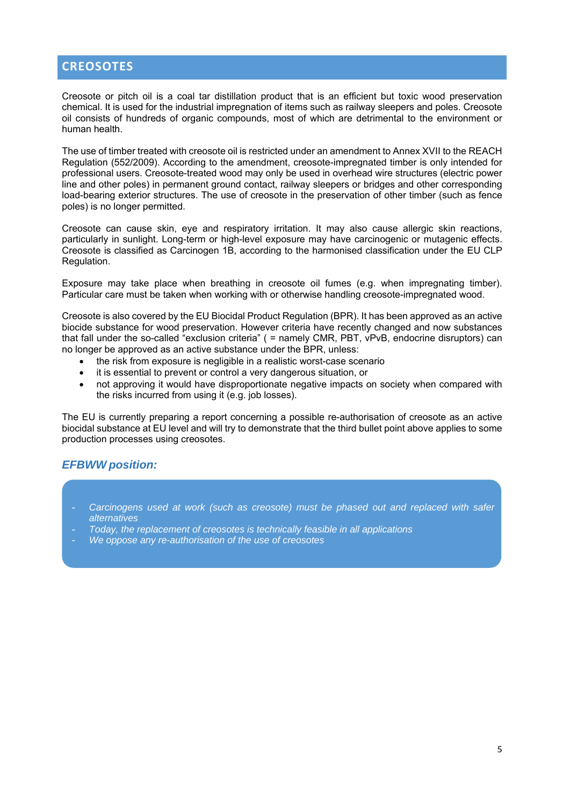# **CREOSOTES**

Creosote or pitch oil is a coal tar distillation product that is an efficient but toxic wood preservation chemical. It is used for the industrial impregnation of items such as railway sleepers and poles. Creosote oil consists of hundreds of organic compounds, most of which are detrimental to the environment or human health.

The use of timber treated with creosote oil is restricted under an amendment to Annex XVII to the REACH Regulation (552/2009). According to the amendment, creosote-impregnated timber is only intended for professional users. Creosote-treated wood may only be used in overhead wire structures (electric power line and other poles) in permanent ground contact, railway sleepers or bridges and other corresponding load-bearing exterior structures. The use of creosote in the preservation of other timber (such as fence poles) is no longer permitted.

Creosote can cause skin, eye and respiratory irritation. It may also cause allergic skin reactions, particularly in sunlight. Long-term or high-level exposure may have carcinogenic or mutagenic effects. Creosote is classified as Carcinogen 1B, according to the harmonised classification under the EU CLP Regulation.

Exposure may take place when breathing in creosote oil fumes (e.g. when impregnating timber). Particular care must be taken when working with or otherwise handling creosote-impregnated wood.

Creosote is also covered by the EU Biocidal Product Regulation (BPR). It has been approved as an active biocide substance for wood preservation. However criteria have recently changed and now substances that fall under the so-called "exclusion criteria" ( = namely CMR, PBT, vPvB, endocrine disruptors) can no longer be approved as an active substance under the BPR, unless:

- the risk from exposure is negligible in a realistic worst-case scenario
- it is essential to prevent or control a very dangerous situation, or
- not approving it would have disproportionate negative impacts on society when compared with the risks incurred from using it (e.g. job losses).

The EU is currently preparing a report concerning a possible re-authorisation of creosote as an active biocidal substance at EU level and will try to demonstrate that the third bullet point above applies to some production processes using creosotes.

#### *EFBWW position:*

- Carcinogens used at work (such as creosote) must be phased out and replaced with safer *alternatives*
- *Today, the replacement of creosotes is technically feasible in all applications*
- *We oppose any re-authorisation of the use of creosotes*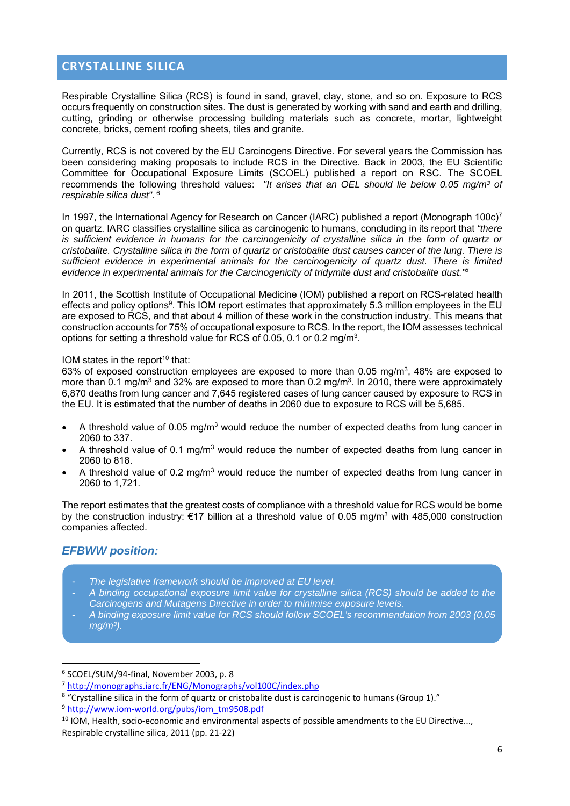# **CRYSTALLINE SILICA**

Respirable Crystalline Silica (RCS) is found in sand, gravel, clay, stone, and so on. Exposure to RCS occurs frequently on construction sites. The dust is generated by working with sand and earth and drilling, cutting, grinding or otherwise processing building materials such as concrete, mortar, lightweight concrete, bricks, cement roofing sheets, tiles and granite.

Currently, RCS is not covered by the EU Carcinogens Directive. For several years the Commission has been considering making proposals to include RCS in the Directive. Back in 2003, the EU Scientific Committee for Occupational Exposure Limits (SCOEL) published a report on RSC. The SCOEL recommends the following threshold values: *"It arises that an OEL should lie below 0.05 mg/m³ of respirable silica dust"*. 6

In 1997, the International Agency for Research on Cancer (IARC) published a report (Monograph 100c)<sup>7</sup> on quartz. IARC classifies crystalline silica as carcinogenic to humans, concluding in its report that *"there is sufficient evidence in humans for the carcinogenicity of crystalline silica in the form of quartz or cristobalite. Crystalline silica in the form of quartz or cristobalite dust causes cancer of the lung. There is sufficient evidence in experimental animals for the carcinogenicity of quartz dust. There is limited evidence in experimental animals for the Carcinogenicity of tridymite dust and cristobalite dust."8*

In 2011, the Scottish Institute of Occupational Medicine (IOM) published a report on RCS-related health effects and policy options<sup>9</sup>. This IOM report estimates that approximately 5.3 million employees in the EU are exposed to RCS, and that about 4 million of these work in the construction industry. This means that construction accounts for 75% of occupational exposure to RCS. In the report, the IOM assesses technical options for setting a threshold value for RCS of 0.05, 0.1 or 0.2 mg/m3.

#### IOM states in the report<sup>10</sup> that:

63% of exposed construction employees are exposed to more than 0.05 mg/m<sup>3</sup>, 48% are exposed to more than 0.1 mg/m<sup>3</sup> and 32% are exposed to more than 0.2 mg/m<sup>3</sup>. In 2010, there were approximately 6,870 deaths from lung cancer and 7,645 registered cases of lung cancer caused by exposure to RCS in the EU. It is estimated that the number of deaths in 2060 due to exposure to RCS will be 5,685.

- $\bullet$  A threshold value of 0.05 mg/m<sup>3</sup> would reduce the number of expected deaths from lung cancer in 2060 to 337.
- A threshold value of 0.1 mg/m<sup>3</sup> would reduce the number of expected deaths from lung cancer in 2060 to 818.
- A threshold value of 0.2 mg/m<sup>3</sup> would reduce the number of expected deaths from lung cancer in 2060 to 1,721.

The report estimates that the greatest costs of compliance with a threshold value for RCS would be borne by the construction industry: €17 billion at a threshold value of 0.05 mg/m3 with 485,000 construction companies affected.

#### *EFBWW position:*

- *The legislative framework should be improved at EU level.*
- *A binding occupational exposure limit value for crystalline silica (RCS) should be added to the Carcinogens and Mutagens Directive in order to minimise exposure levels.*
- *A binding exposure limit value for RCS should follow SCOEL's recommendation from 2003 (0.05 mg/m³).*

<sup>6</sup> SCOEL/SUM/94‐final, November 2003, p. 8

<sup>7</sup> http://monographs.iarc.fr/ENG/Monographs/vol100C/index.php

<sup>8</sup> "Crystalline silica in the form of quartz or cristobalite dust is carcinogenic to humans (Group 1)."

<sup>&</sup>lt;sup>9</sup> http://www.iom-world.org/pubs/iom\_tm9508.pdf

 $10$  IOM, Health, socio-economic and environmental aspects of possible amendments to the EU Directive..., Respirable crystalline silica, 2011 (pp. 21‐22)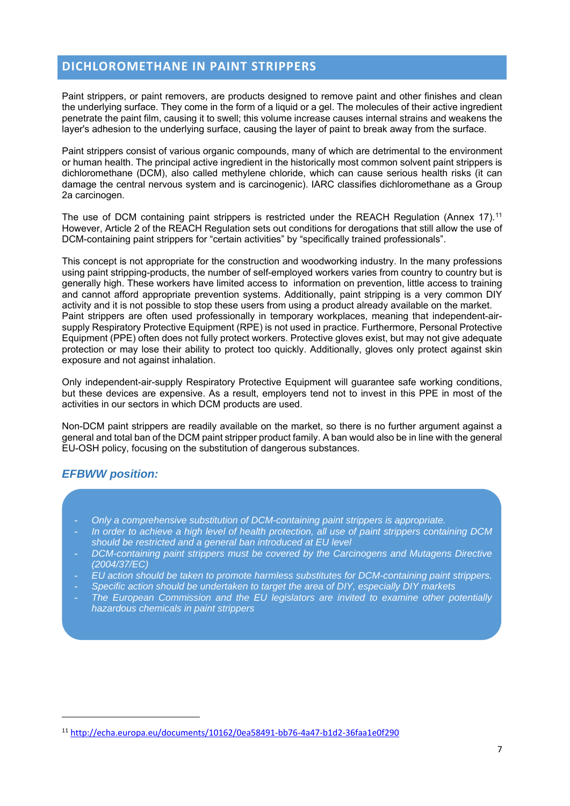# **DICHLOROMETHANE IN PAINT STRIPPERS**

Paint strippers, or paint removers, are products designed to remove paint and other finishes and clean the underlying surface. They come in the form of a liquid or a gel. The molecules of their active ingredient penetrate the paint film, causing it to swell; this volume increase causes internal strains and weakens the layer's adhesion to the underlying surface, causing the layer of paint to break away from the surface.

Paint strippers consist of various organic compounds, many of which are detrimental to the environment or human health. The principal active ingredient in the historically most common solvent paint strippers is dichloromethane (DCM), also called methylene chloride, which can cause serious health risks (it can damage the central nervous system and is carcinogenic). IARC classifies dichloromethane as a Group 2a carcinogen.

The use of DCM containing paint strippers is restricted under the REACH Regulation (Annex 17).<sup>11</sup> However, Article 2 of the REACH Regulation sets out conditions for derogations that still allow the use of DCM-containing paint strippers for "certain activities" by "specifically trained professionals".

This concept is not appropriate for the construction and woodworking industry. In the many professions using paint stripping-products, the number of self-employed workers varies from country to country but is generally high. These workers have limited access to information on prevention, little access to training and cannot afford appropriate prevention systems. Additionally, paint stripping is a very common DIY activity and it is not possible to stop these users from using a product already available on the market. Paint strippers are often used professionally in temporary workplaces, meaning that independent-airsupply Respiratory Protective Equipment (RPE) is not used in practice. Furthermore, Personal Protective Equipment (PPE) often does not fully protect workers. Protective gloves exist, but may not give adequate protection or may lose their ability to protect too quickly. Additionally, gloves only protect against skin exposure and not against inhalation.

Only independent-air-supply Respiratory Protective Equipment will guarantee safe working conditions, but these devices are expensive. As a result, employers tend not to invest in this PPE in most of the activities in our sectors in which DCM products are used.

Non-DCM paint strippers are readily available on the market, so there is no further argument against a general and total ban of the DCM paint stripper product family. A ban would also be in line with the general EU-OSH policy, focusing on the substitution of dangerous substances.

#### *EFBWW position:*

- *Only a comprehensive substitution of DCM-containing paint strippers is appropriate.*
- In order to achieve a high level of health protection, all use of paint strippers containing DCM *should be restricted and a general ban introduced at EU level*
- *DCM-containing paint strippers must be covered by the Carcinogens and Mutagens Directive (2004/37/EC)*
- *EU action should be taken to promote harmless substitutes for DCM-containing paint strippers.*
- *Specific action should be undertaken to target the area of DIY, especially DIY markets*
- *The European Commission and the EU legislators are invited to examine other potentially hazardous chemicals in paint strippers*

<sup>11</sup> http://echa.europa.eu/documents/10162/0ea58491‐bb76‐4a47‐b1d2‐36faa1e0f290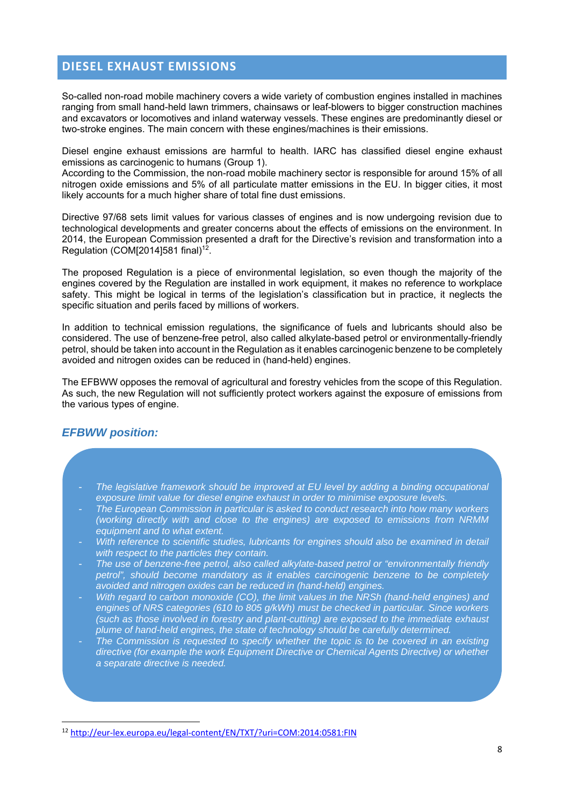## **DIESEL EXHAUST EMISSIONS**

So-called non-road mobile machinery covers a wide variety of combustion engines installed in machines ranging from small hand-held lawn trimmers, chainsaws or leaf-blowers to bigger construction machines and excavators or locomotives and inland waterway vessels. These engines are predominantly diesel or two-stroke engines. The main concern with these engines/machines is their emissions.

Diesel engine exhaust emissions are harmful to health. IARC has classified diesel engine exhaust emissions as carcinogenic to humans (Group 1).

According to the Commission, the non-road mobile machinery sector is responsible for around 15% of all nitrogen oxide emissions and 5% of all particulate matter emissions in the EU. In bigger cities, it most likely accounts for a much higher share of total fine dust emissions.

Directive 97/68 sets limit values for various classes of engines and is now undergoing revision due to technological developments and greater concerns about the effects of emissions on the environment. In 2014, the European Commission presented a draft for the Directive's revision and transformation into a Regulation (COM[2014]581 final)<sup>12</sup>.

The proposed Regulation is a piece of environmental legislation, so even though the majority of the engines covered by the Regulation are installed in work equipment, it makes no reference to workplace safety. This might be logical in terms of the legislation's classification but in practice, it neglects the specific situation and perils faced by millions of workers.

In addition to technical emission regulations, the significance of fuels and lubricants should also be considered. The use of benzene-free petrol, also called alkylate-based petrol or environmentally-friendly petrol, should be taken into account in the Regulation as it enables carcinogenic benzene to be completely avoided and nitrogen oxides can be reduced in (hand-held) engines.

The EFBWW opposes the removal of agricultural and forestry vehicles from the scope of this Regulation. As such, the new Regulation will not sufficiently protect workers against the exposure of emissions from the various types of engine.

## *EFBWW position:*

- The legislative framework should be improved at EU level by adding a binding occupational *exposure limit value for diesel engine exhaust in order to minimise exposure levels.*
- *The European Commission in particular is asked to conduct research into how many workers (working directly with and close to the engines) are exposed to emissions from NRMM equipment and to what extent.*
- *With reference to scientific studies, lubricants for engines should also be examined in detail with respect to the particles they contain.*
- *The use of benzene-free petrol, also called alkylate-based petrol or "environmentally friendly petrol", should become mandatory as it enables carcinogenic benzene to be completely avoided and nitrogen oxides can be reduced in (hand-held) engines.*
- *With regard to carbon monoxide (CO), the limit values in the NRSh (hand-held engines) and engines of NRS categories (610 to 805 g/kWh) must be checked in particular. Since workers (such as those involved in forestry and plant-cutting) are exposed to the immediate exhaust plume of hand-held engines, the state of technology should be carefully determined.*
- The Commission is requested to specify whether the topic is to be covered in an existing *directive (for example the work Equipment Directive or Chemical Agents Directive) or whether a separate directive is needed.*

<sup>12</sup> http://eur-lex.europa.eu/legal-content/EN/TXT/?uri=COM:2014:0581:FIN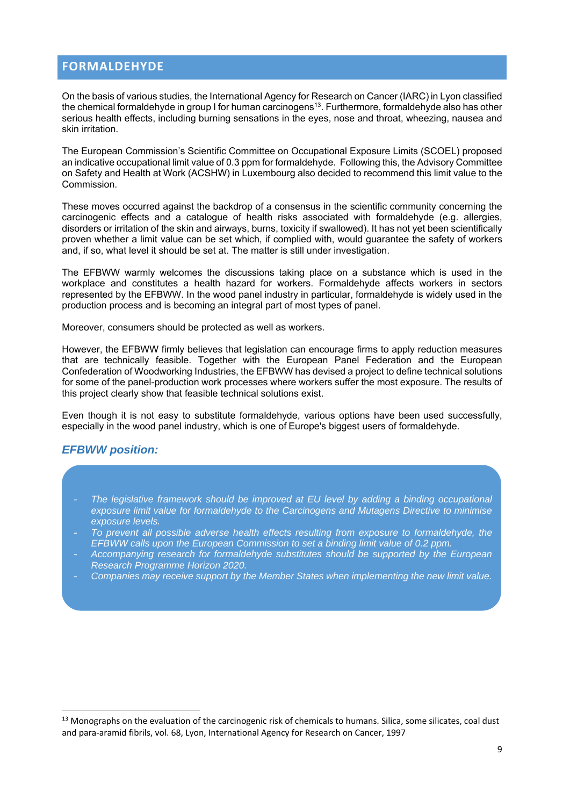# **FORMALDEHYDE**

On the basis of various studies, the International Agency for Research on Cancer (IARC) in Lyon classified the chemical formaldehyde in group I for human carcinogens<sup>13</sup>. Furthermore, formaldehyde also has other serious health effects, including burning sensations in the eyes, nose and throat, wheezing, nausea and skin irritation.

The European Commission's Scientific Committee on Occupational Exposure Limits (SCOEL) proposed an indicative occupational limit value of 0.3 ppm for formaldehyde. Following this, the Advisory Committee on Safety and Health at Work (ACSHW) in Luxembourg also decided to recommend this limit value to the Commission.

These moves occurred against the backdrop of a consensus in the scientific community concerning the carcinogenic effects and a catalogue of health risks associated with formaldehyde (e.g. allergies, disorders or irritation of the skin and airways, burns, toxicity if swallowed). It has not yet been scientifically proven whether a limit value can be set which, if complied with, would guarantee the safety of workers and, if so, what level it should be set at. The matter is still under investigation.

The EFBWW warmly welcomes the discussions taking place on a substance which is used in the workplace and constitutes a health hazard for workers. Formaldehyde affects workers in sectors represented by the EFBWW. In the wood panel industry in particular, formaldehyde is widely used in the production process and is becoming an integral part of most types of panel.

Moreover, consumers should be protected as well as workers.

However, the EFBWW firmly believes that legislation can encourage firms to apply reduction measures that are technically feasible. Together with the European Panel Federation and the European Confederation of Woodworking Industries, the EFBWW has devised a project to define technical solutions for some of the panel-production work processes where workers suffer the most exposure. The results of this project clearly show that feasible technical solutions exist.

Even though it is not easy to substitute formaldehyde, various options have been used successfully, especially in the wood panel industry, which is one of Europe's biggest users of formaldehyde.

#### *EFBWW position:*

- *The legislative framework should be improved at EU level by adding a binding occupational exposure limit value for formaldehyde to the Carcinogens and Mutagens Directive to minimise exposure levels.*
- *To prevent all possible adverse health effects resulting from exposure to formaldehyde, the EFBWW calls upon the European Commission to set a binding limit value of 0.2 ppm.*
- *Accompanying research for formaldehyde substitutes should be supported by the European Research Programme Horizon 2020.*
- *Companies may receive support by the Member States when implementing the new limit value.*

 $13$  Monographs on the evaluation of the carcinogenic risk of chemicals to humans. Silica, some silicates, coal dust and para‐aramid fibrils, vol. 68, Lyon, International Agency for Research on Cancer, 1997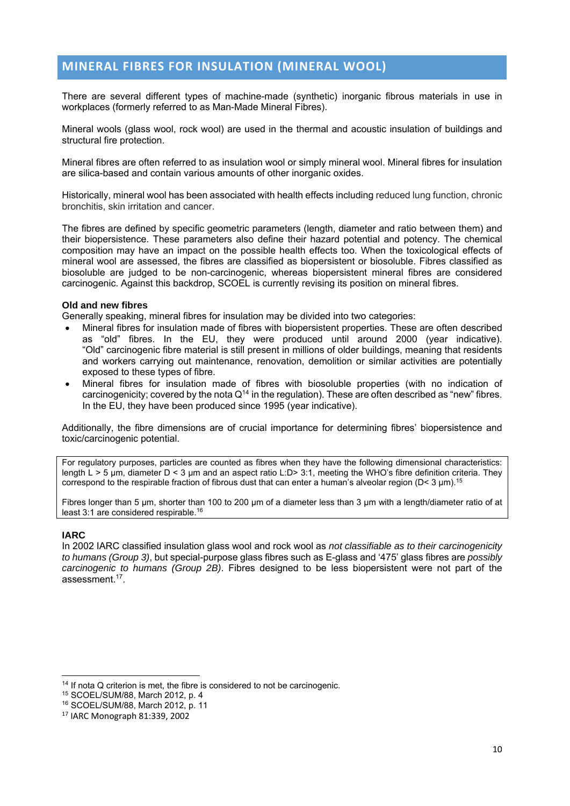# **MINERAL FIBRES FOR INSULATION (MINERAL WOOL)**

There are several different types of machine-made (synthetic) inorganic fibrous materials in use in workplaces (formerly referred to as Man-Made Mineral Fibres).

Mineral wools (glass wool, rock wool) are used in the thermal and acoustic insulation of buildings and structural fire protection.

Mineral fibres are often referred to as insulation wool or simply mineral wool. Mineral fibres for insulation are silica-based and contain various amounts of other inorganic oxides.

Historically, mineral wool has been associated with health effects including reduced lung function, chronic bronchitis, skin irritation and cancer.

The fibres are defined by specific geometric parameters (length, diameter and ratio between them) and their biopersistence. These parameters also define their hazard potential and potency. The chemical composition may have an impact on the possible health effects too. When the toxicological effects of mineral wool are assessed, the fibres are classified as biopersistent or biosoluble. Fibres classified as biosoluble are judged to be non-carcinogenic, whereas biopersistent mineral fibres are considered carcinogenic. Against this backdrop, SCOEL is currently revising its position on mineral fibres.

#### **Old and new fibres**

Generally speaking, mineral fibres for insulation may be divided into two categories:

- Mineral fibres for insulation made of fibres with biopersistent properties. These are often described as "old" fibres. In the EU, they were produced until around 2000 (year indicative). "Old" carcinogenic fibre material is still present in millions of older buildings, meaning that residents and workers carrying out maintenance, renovation, demolition or similar activities are potentially exposed to these types of fibre.
- Mineral fibres for insulation made of fibres with biosoluble properties (with no indication of carcinogenicity; covered by the nota  $Q<sup>14</sup>$  in the regulation). These are often described as "new" fibres. In the EU, they have been produced since 1995 (year indicative).

Additionally, the fibre dimensions are of crucial importance for determining fibres' biopersistence and toxic/carcinogenic potential.

For regulatory purposes, particles are counted as fibres when they have the following dimensional characteristics: length L > 5 μm, diameter D < 3 μm and an aspect ratio L:D> 3:1, meeting the WHO's fibre definition criteria. They correspond to the respirable fraction of fibrous dust that can enter a human's alveolar region ( $D < 3 \mu m$ ).<sup>15</sup>

Fibres longer than 5 μm, shorter than 100 to 200 μm of a diameter less than 3 μm with a length/diameter ratio of at least 3:1 are considered respirable.16

#### **IARC**

In 2002 IARC classified insulation glass wool and rock wool as *not classifiable as to their carcinogenicity to humans (Group 3)*, but special-purpose glass fibres such as E-glass and '475' glass fibres are *possibly carcinogenic to humans (Group 2B)*. Fibres designed to be less biopersistent were not part of the assessment.17.

 $14$  If nota Q criterion is met, the fibre is considered to not be carcinogenic.

<sup>15</sup> SCOEL/SUM/88, March 2012, p. 4

<sup>16</sup> SCOEL/SUM/88, March 2012, p. 11

<sup>17</sup> IARC Monograph 81:339, 2002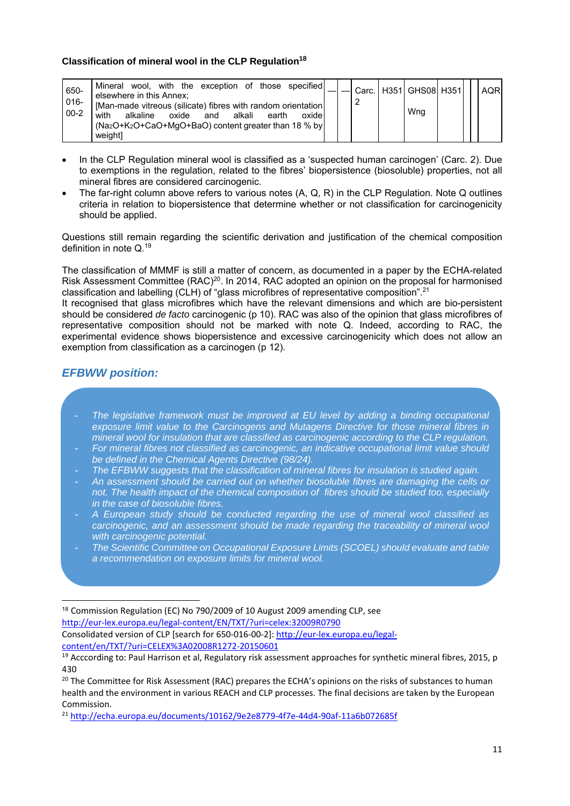#### **Classification of mineral wool in the CLP Regulation<sup>18</sup>**

| wool, with the exception of those specified<br>Mineral<br>650-<br>elsewhere in this Annex;<br>$016 -$<br>[Man-made vitreous (silicate) fibres with random orientation<br>$00 - 2$<br>with<br>oxide<br>oxide<br>alkaline<br>alkali<br>earth<br>and<br>$(Na2O+K2O+CaO+MqO+BaO)$ content greater than 18 % by<br>weightl |  |  |  | Carc.   H351   GHS08   H351  <br>Wng |  |  | <b>AQR</b> |
|-----------------------------------------------------------------------------------------------------------------------------------------------------------------------------------------------------------------------------------------------------------------------------------------------------------------------|--|--|--|--------------------------------------|--|--|------------|
|-----------------------------------------------------------------------------------------------------------------------------------------------------------------------------------------------------------------------------------------------------------------------------------------------------------------------|--|--|--|--------------------------------------|--|--|------------|

- In the CLP Regulation mineral wool is classified as a 'suspected human carcinogen' (Carc. 2). Due to exemptions in the regulation, related to the fibres' biopersistence (biosoluble) properties, not all mineral fibres are considered carcinogenic.
- The far-right column above refers to various notes (A, Q, R) in the CLP Regulation. Note Q outlines criteria in relation to biopersistence that determine whether or not classification for carcinogenicity should be applied.

Questions still remain regarding the scientific derivation and justification of the chemical composition definition in note Q.19

The classification of MMMF is still a matter of concern, as documented in a paper by the ECHA-related Risk Assessment Committee (RAC)<sup>20</sup>. In 2014, RAC adopted an opinion on the proposal for harmonised classification and labelling (CLH) of "glass microfibres of representative composition".<sup>21</sup>

It recognised that glass microfibres which have the relevant dimensions and which are bio-persistent should be considered *de facto* carcinogenic (p 10). RAC was also of the opinion that glass microfibres of representative composition should not be marked with note Q. Indeed, according to RAC, the experimental evidence shows biopersistence and excessive carcinogenicity which does not allow an exemption from classification as a carcinogen (p 12).

# *EFBWW position:*

<u> 1989 - Johann Barn, mars ar breithinn ar breithinn ar breithinn ar breithinn ar breithinn ar breithinn ar br</u>

- The legislative framework must be improved at EU level by adding a binding occupational *exposure limit value to the Carcinogens and Mutagens Directive for those mineral fibres in mineral wool for insulation that are classified as carcinogenic according to the CLP regulation.*
- *For mineral fibres not classified as carcinogenic, an indicative occupational limit value should be defined in the Chemical Agents Directive (98/24).*
- *The EFBWW suggests that the classification of mineral fibres for insulation is studied again.*
- *An assessment should be carried out on whether biosoluble fibres are damaging the cells or not. The health impact of the chemical composition of fibres should be studied too, especially in the case of biosoluble fibres.*
- *A European study should be conducted regarding the use of mineral wool classified as carcinogenic, and an assessment should be made regarding the traceability of mineral wool with carcinogenic potential.*
- *The Scientific Committee on Occupational Exposure Limits (SCOEL) should evaluate and table a recommendation on exposure limits for mineral wool.*

<sup>18</sup> Commission Regulation (EC) No 790/2009 of 10 August 2009 amending CLP, see http://eur‐lex.europa.eu/legal‐content/EN/TXT/?uri=celex:32009R0790

Consolidated version of CLP [search for 650‐016‐00‐2]: http://eur‐lex.europa.eu/legal‐ content/en/TXT/?uri=CELEX%3A02008R1272‐20150601

<sup>&</sup>lt;sup>19</sup> Acccording to: Paul Harrison et al, Regulatory risk assessment approaches for synthetic mineral fibres, 2015, p 430

<sup>&</sup>lt;sup>20</sup> The Committee for Risk Assessment (RAC) prepares the ECHA's opinions on the risks of substances to human health and the environment in various REACH and CLP processes. The final decisions are taken by the European Commission.

<sup>21</sup> http://echa.europa.eu/documents/10162/9e2e8779‐4f7e‐44d4‐90af‐11a6b072685f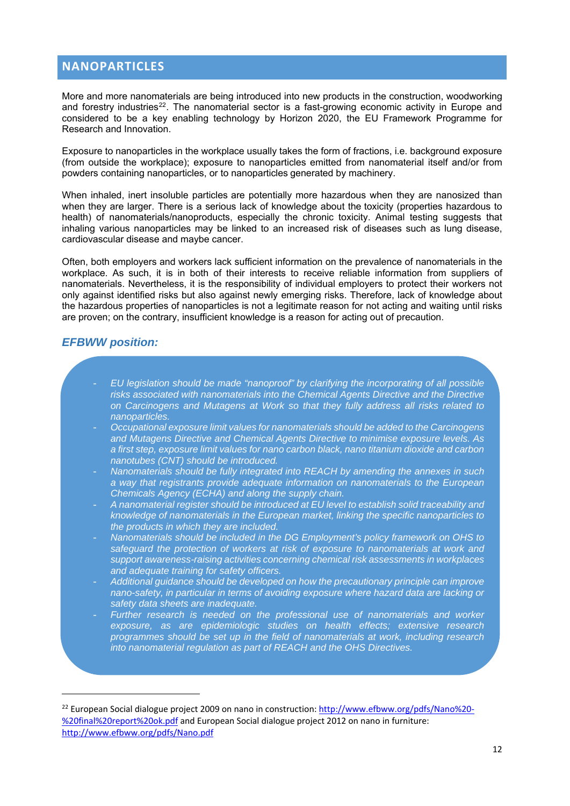# **NANOPARTICLES**

More and more nanomaterials are being introduced into new products in the construction, woodworking and forestry industries<sup>22</sup>. The nanomaterial sector is a fast-growing economic activity in Europe and considered to be a key enabling technology by Horizon 2020, the EU Framework Programme for Research and Innovation.

Exposure to nanoparticles in the workplace usually takes the form of fractions, i.e. background exposure (from outside the workplace); exposure to nanoparticles emitted from nanomaterial itself and/or from powders containing nanoparticles, or to nanoparticles generated by machinery.

When inhaled, inert insoluble particles are potentially more hazardous when they are nanosized than when they are larger. There is a serious lack of knowledge about the toxicity (properties hazardous to health) of nanomaterials/nanoproducts, especially the chronic toxicity. Animal testing suggests that inhaling various nanoparticles may be linked to an increased risk of diseases such as lung disease, cardiovascular disease and maybe cancer.

Often, both employers and workers lack sufficient information on the prevalence of nanomaterials in the workplace. As such, it is in both of their interests to receive reliable information from suppliers of nanomaterials. Nevertheless, it is the responsibility of individual employers to protect their workers not only against identified risks but also against newly emerging risks. Therefore, lack of knowledge about the hazardous properties of nanoparticles is not a legitimate reason for not acting and waiting until risks are proven; on the contrary, insufficient knowledge is a reason for acting out of precaution.

#### *EFBWW position:*

- *EU legislation should be made "nanoproof" by clarifying the incorporating of all possible risks associated with nanomaterials into the Chemical Agents Directive and the Directive on Carcinogens and Mutagens at Work so that they fully address all risks related to nanoparticles.*
- *Occupational exposure limit values for nanomaterials should be added to the Carcinogens and Mutagens Directive and Chemical Agents Directive to minimise exposure levels. As a first step, exposure limit values for nano carbon black, nano titanium dioxide and carbon nanotubes (CNT) should be introduced.*
- *Nanomaterials should be fully integrated into REACH by amending the annexes in such a way that registrants provide adequate information on nanomaterials to the European Chemicals Agency (ECHA) and along the supply chain.*
- *A nanomaterial register should be introduced at EU level to establish solid traceability and knowledge of nanomaterials in the European market, linking the specific nanoparticles to the products in which they are included.*
- *Nanomaterials should be included in the DG Employment's policy framework on OHS to safeguard the protection of workers at risk of exposure to nanomaterials at work and support awareness-raising activities concerning chemical risk assessments in workplaces and adequate training for safety officers.*
- *Additional guidance should be developed on how the precautionary principle can improve nano-safety, in particular in terms of avoiding exposure where hazard data are lacking or safety data sheets are inadequate.*
- *Further research is needed on the professional use of nanomaterials and worker exposure, as are epidemiologic studies on health effects; extensive research programmes should be set up in the field of nanomaterials at work, including research into nanomaterial regulation as part of REACH and the OHS Directives.*

<sup>&</sup>lt;sup>22</sup> European Social dialogue project 2009 on nano in construction: http://www.efbww.org/pdfs/Nano%20-%20final%20report%20ok.pdf and European Social dialogue project 2012 on nano in furniture: http://www.efbww.org/pdfs/Nano.pdf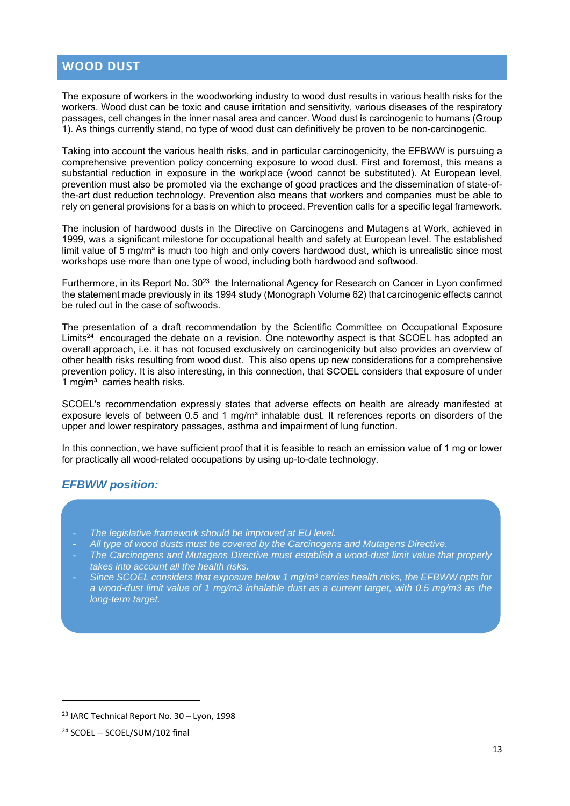## **WOOD DUST**

The exposure of workers in the woodworking industry to wood dust results in various health risks for the workers. Wood dust can be toxic and cause irritation and sensitivity, various diseases of the respiratory passages, cell changes in the inner nasal area and cancer. Wood dust is carcinogenic to humans (Group 1). As things currently stand, no type of wood dust can definitively be proven to be non-carcinogenic.

Taking into account the various health risks, and in particular carcinogenicity, the EFBWW is pursuing a comprehensive prevention policy concerning exposure to wood dust. First and foremost, this means a substantial reduction in exposure in the workplace (wood cannot be substituted). At European level, prevention must also be promoted via the exchange of good practices and the dissemination of state-ofthe-art dust reduction technology. Prevention also means that workers and companies must be able to rely on general provisions for a basis on which to proceed. Prevention calls for a specific legal framework.

The inclusion of hardwood dusts in the Directive on Carcinogens and Mutagens at Work, achieved in 1999, was a significant milestone for occupational health and safety at European level. The established limit value of 5 mg/m<sup>3</sup> is much too high and only covers hardwood dust, which is unrealistic since most workshops use more than one type of wood, including both hardwood and softwood.

Furthermore, in its Report No. 30<sup>23</sup> the International Agency for Research on Cancer in Lyon confirmed the statement made previously in its 1994 study (Monograph Volume 62) that carcinogenic effects cannot be ruled out in the case of softwoods.

The presentation of a draft recommendation by the Scientific Committee on Occupational Exposure Limits<sup>24</sup> encouraged the debate on a revision. One noteworthy aspect is that SCOEL has adopted an overall approach, i.e. it has not focused exclusively on carcinogenicity but also provides an overview of other health risks resulting from wood dust. This also opens up new considerations for a comprehensive prevention policy. It is also interesting, in this connection, that SCOEL considers that exposure of under 1 mg/m<sup>3</sup> carries health risks.

SCOEL's recommendation expressly states that adverse effects on health are already manifested at exposure levels of between 0.5 and 1 mg/m<sup>3</sup> inhalable dust. It references reports on disorders of the upper and lower respiratory passages, asthma and impairment of lung function.

In this connection, we have sufficient proof that it is feasible to reach an emission value of 1 mg or lower for practically all wood-related occupations by using up-to-date technology.

## *EFBWW position:*

- *The legislative framework should be improved at EU level.*
- *All type of wood dusts must be covered by the Carcinogens and Mutagens Directive.*
- *The Carcinogens and Mutagens Directive must establish a wood-dust limit value that properly takes into account all the health risks.*
- *Since SCOEL considers that exposure below 1 mg/m³ carries health risks, the EFBWW opts for a wood-dust limit value of 1 mg/m3 inhalable dust as a current target, with 0.5 mg/m3 as the long-term target.*

<u> 1989 - Johann Barn, mars eta bainar eta bainar eta baina eta baina eta baina eta baina eta baina eta baina e</u>

<sup>23</sup> IARC Technical Report No. 30 – Lyon, 1998

<sup>&</sup>lt;sup>24</sup> SCOEL -- SCOEL/SUM/102 final